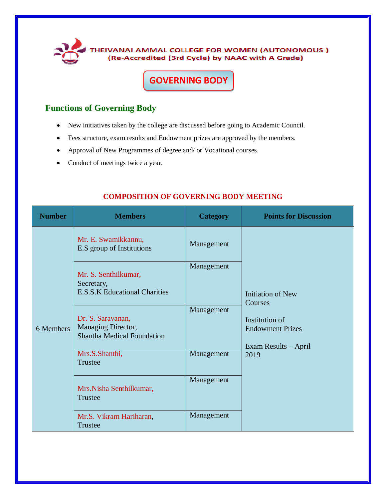

## **GOVERNING BODY**

## **Functions of Governing Body**

- New initiatives taken by the college are discussed before going to Academic Council.
- Fees structure, exam results and Endowment prizes are approved by the members.
- Approval of New Programmes of degree and/ or Vocational courses.
- Conduct of meetings twice a year.

| <b>Number</b> | <b>Members</b>                                                               | <b>Category</b> | <b>Points for Discussion</b>                                                                                     |
|---------------|------------------------------------------------------------------------------|-----------------|------------------------------------------------------------------------------------------------------------------|
| 6 Members     | Mr. E. Swamikkannu,<br>E.S group of Institutions                             | Management      | <b>Initiation of New</b><br>Courses<br>Institution of<br><b>Endowment Prizes</b><br>Exam Results – April<br>2019 |
|               | Mr. S. Senthilkumar,<br>Secretary,<br><b>E.S.S.K Educational Charities</b>   | Management      |                                                                                                                  |
|               | Dr. S. Saravanan,<br>Managing Director,<br><b>Shantha Medical Foundation</b> | Management      |                                                                                                                  |
|               | Mrs.S.Shanthi,<br><b>Trustee</b>                                             | Management      |                                                                                                                  |
|               | Mrs.Nisha Senthilkumar,<br>Trustee                                           | Management      |                                                                                                                  |
|               | Mr.S. Vikram Hariharan,<br>Trustee                                           | Management      |                                                                                                                  |

## **COMPOSITION OF GOVERNING BODY MEETING**